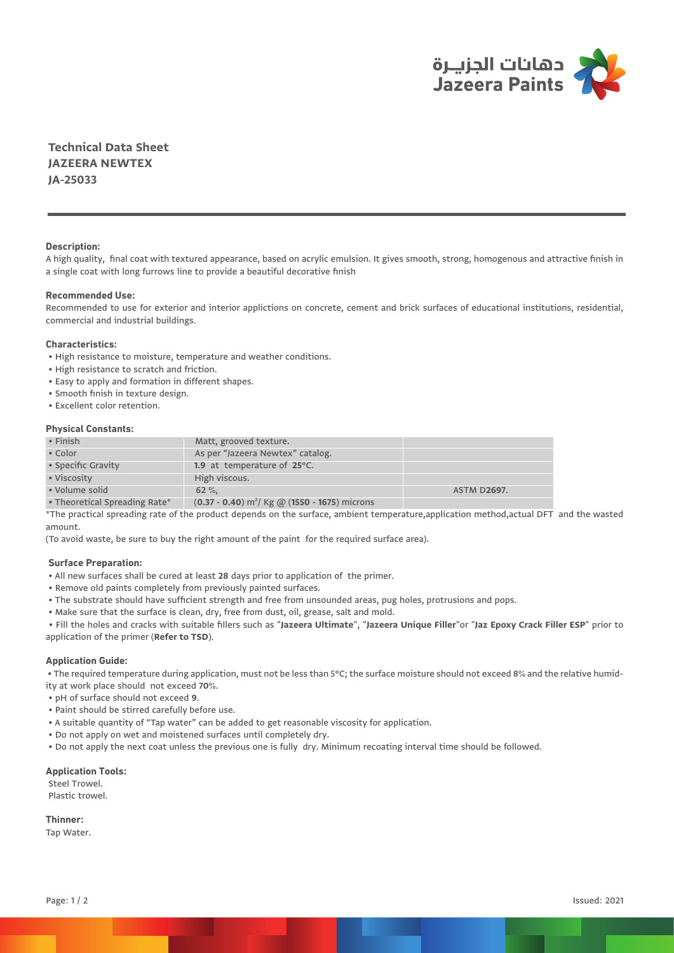

**Technical Data Sheet JAZEERA NEWTEX JA-25033**

## **Description:**

A high quality, final coat with textured appearance, based on acrylic emulsion. It gives smooth, strong, homogenous and attractive finish in a single coat with long furrows line to provide a beautiful decorative finish

# **Recommended Use:**

Recommended to use for exterior and interior applictions on concrete, cement and brick surfaces of educational institutions, residential, commercial and industrial buildings.

## **Characteristics:**

- High resistance to moisture, temperature and weather conditions.
- High resistance to scratch and friction.
- Easy to apply and formation in different shapes.
- Smooth finish in texture design.
- Excellent color retention.

#### **Physical Constants:**

| $\cdot$ Finish                    | Matt, grooved texture.                              |                    |
|-----------------------------------|-----------------------------------------------------|--------------------|
| • Color                           | As per "Jazeera Newtex" catalog.                    |                    |
| • Specific Gravity                | 1.9 at temperature of $25^{\circ}$ C.               |                    |
| • Viscosity                       | High viscous.                                       |                    |
| • Volume solid                    | $62 \%$                                             | <b>ASTM D2697.</b> |
| $\sim$ The construction of $\sim$ | $(0.27 \ 0.40) - 2116 = 0.05558$ $(4550 \ 0.05558)$ |                    |

• Theoretical Spreading Rate\* (**0.37 - 0.40**) m²/ Kg @ (**1550 - 1675**) microns

\*The practical spreading rate of the product depends on the surface, ambient temperature,application method,actual DFT and the wasted amount.

(To avoid waste, be sure to buy the right amount of the paint for the required surface area).

## **Surface Preparation:**

- All new surfaces shall be cured at least **28** days prior to application of the primer.
- Remove old paints completely from previously painted surfaces.
- The substrate should have sufficient strength and free from unsounded areas, pug holes, protrusions and pops.
- Make sure that the surface is clean, dry, free from dust, oil, grease, salt and mold.

 • Fill the holes and cracks with suitable fillers such as "**Jazeera Ultimate**", "**Jazeera Unique Filler**"or "**Jaz Epoxy Crack Filler ESP**" prior to application of the primer (**Refer to TSD**).

#### **Application Guide:**

 • The required temperature during application, must not be less than 5°C; the surface moisture should not exceed **8**% and the relative humidity at work place should not exceed **70**%.

- pH of surface should not exceed **9**.
- Paint should be stirred carefully before use.
- A suitable quantity of "Tap water" can be added to get reasonable viscosity for application.
- Do not apply on wet and moistened surfaces until completely dry.
- Do not apply the next coat unless the previous one is fully dry. Minimum recoating interval time should be followed.

#### **Application Tools:**

 Steel Trowel. Plastic trowel.

**Thinner:**

Tap Water.